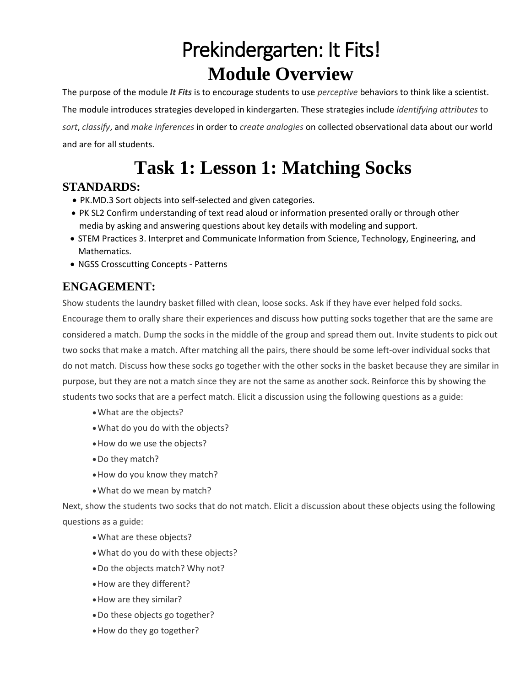# Prekindergarten: It Fits! **Module Overview**

The purpose of the module *It Fits* is to encourage students to use *perceptive* behaviors to think like a scientist. The module introduces strategies developed in kindergarten. These strategies include *identifying attributes* to *sort*, *classify*, and *make inferences* in order to *create analogies* on collected observational data about our world and are for all students.

## **Task 1: Lesson 1: Matching Socks**

### **STANDARDS:**

- PK.MD.3 Sort objects into self-selected and given categories.
- PK SL2 Confirm understanding of text read aloud or information presented orally or through other media by asking and answering questions about key details with modeling and support.
- [STEM Practices](http://mdk12.msde.maryland.gov/instruction/academies/marylandstatestemstandardsofpractice_.pdf) 3. Interpret and Communicate Information from Science, Technology, Engineering, and Mathematics.
- [NGSS Crosscutting Concepts Patterns](http://www.nextgenscience.org/sites/default/files/Appendix%20G%20-%20Crosscutting%20Concepts%20FINAL%20edited%204.10.13.pdf)

## **ENGAGEMENT:**

Show students the laundry basket filled with clean, loose socks. Ask if they have ever helped fold socks. Encourage them to orally share their experiences and discuss how putting socks together that are the same are considered a match. Dump the socks in the middle of the group and spread them out. Invite students to pick out two socks that make a match. After matching all the pairs, there should be some left‐over individual socks that do not match. Discuss how these socks go together with the other socks in the basket because they are similar in purpose, but they are not a match since they are not the same as another sock. Reinforce this by showing the students two socks that are a perfect match. Elicit a discussion using the following questions as a guide:

- What are the objects?
- What do you do with the objects?
- How do we use the objects?
- Do they match?
- How do you know they match?
- What do we mean by match?

Next, show the students two socks that do not match. Elicit a discussion about these objects using the following questions as a guide:

- What are these objects?
- What do you do with these objects?
- Do the objects match? Why not?
- How are they different?
- How are they similar?
- Do these objects go together?
- How do they go together?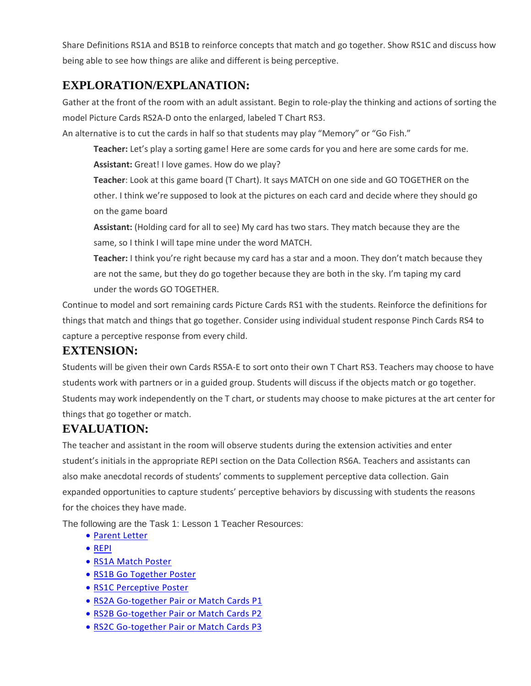Share Definitions RS1A and BS1B to reinforce concepts that match and go together. Show RS1C and discuss how being able to see how things are alike and different is being perceptive.

## **EXPLORATION/EXPLANATION:**

Gather at the front of the room with an adult assistant. Begin to role-play the thinking and actions of sorting the model Picture Cards RS2A‐D onto the enlarged, labeled T Chart RS3.

An alternative is to cut the cards in half so that students may play "Memory" or "Go Fish."

**Teacher:** Let's play a sorting game! Here are some cards for you and here are some cards for me. **Assistant:** Great! I love games. How do we play?

**Teacher**: Look at this game board (T Chart). It says MATCH on one side and GO TOGETHER on the other. I think we're supposed to look at the pictures on each card and decide where they should go on the game board

**Assistant:** (Holding card for all to see) My card has two stars. They match because they are the same, so I think I will tape mine under the word MATCH.

**Teacher:** I think you're right because my card has a star and a moon. They don't match because they are not the same, but they do go together because they are both in the sky. I'm taping my card under the words GO TOGETHER.

Continue to model and sort remaining cards Picture Cards RS1 with the students. Reinforce the definitions for things that match and things that go together. Consider using individual student response Pinch Cards RS4 to capture a perceptive response from every child.

### **EXTENSION:**

Students will be given their own Cards RS5A‐E to sort onto their own T Chart RS3. Teachers may choose to have students work with partners or in a guided group. Students will discuss if the objects match or go together. Students may work independently on the T chart, or students may choose to make pictures at the art center for things that go together or match.

## **EVALUATION:**

The teacher and assistant in the room will observe students during the extension activities and enter student's initials in the appropriate REPI section on the Data Collection RS6A. Teachers and assistants can also make anecdotal records of students' comments to supplement perceptive data collection. Gain expanded opportunities to capture students' perceptive behaviors by discussing with students the reasons for the choices they have made.

The following are the Task 1: Lesson 1 Teacher Resources:

- [Parent Letter](https://www.oercommons.org/courseware/related-resource/13942/download)
- [REPI](https://www.oercommons.org/courseware/related-resource/13943/download)
- RS1A Match Poster
- RS1B Go Together Poster
- [RS1C Perceptive Poster](https://www.oercommons.org/courseware/related-resource/13946/download)
- [RS2A Go-together Pair or Match Cards P1](https://www.oercommons.org/courseware/related-resource/13947/download)
- [RS2B Go-together Pair or Match Cards P2](https://www.oercommons.org/courseware/related-resource/13948/download)
- [RS2C Go-together Pair or Match Cards P3](https://www.oercommons.org/courseware/related-resource/13949/download)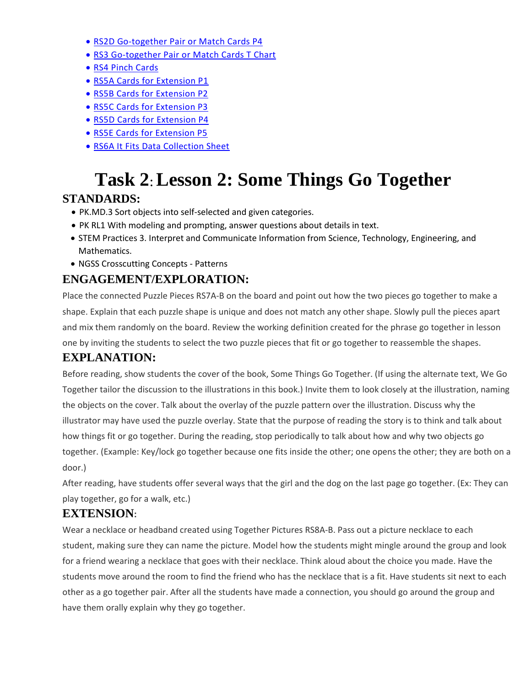- [RS2D Go-together Pair or Match Cards P4](https://www.oercommons.org/courseware/related-resource/13950/download)
- [RS3 Go-together Pair or Match Cards T Chart](https://www.oercommons.org/courseware/related-resource/13951/download)
- [RS4 Pinch Cards](https://www.oercommons.org/courseware/related-resource/13952/download)
- [RS5A Cards for Extension P1](https://www.oercommons.org/courseware/related-resource/13953/download)
- [RS5B Cards for Extension P2](https://www.oercommons.org/courseware/related-resource/13954/download)
- [RS5C Cards for Extension P3](https://www.oercommons.org/courseware/related-resource/13955/download)
- [RS5D Cards for Extension P4](https://www.oercommons.org/courseware/related-resource/13956/download)
- [RS5E Cards for Extension P5](https://www.oercommons.org/courseware/related-resource/13957/download)
- [RS6A It Fits Data Collection Sheet](https://www.oercommons.org/courseware/related-resource/13958/download)

## **Task 2**: **Lesson 2: Some Things Go Together**

#### **STANDARDS:**

- PK.MD.3 Sort objects into self-selected and given categories.
- PK RL1 With modeling and prompting, answer questions about details in text.
- [STEM Practices](http://mdk12.msde.maryland.gov/instruction/academies/marylandstatestemstandardsofpractice_.pdf) 3. Interpret and Communicate Information from Science, Technology, Engineering, and Mathematics.
- [NGSS Crosscutting Concepts Patterns](http://www.nextgenscience.org/sites/default/files/Appendix%20G%20-%20Crosscutting%20Concepts%20FINAL%20edited%204.10.13.pdf)

### **ENGAGEMENT/EXPLORATION:**

Place the connected Puzzle Pieces RS7A‐B on the board and point out how the two pieces go together to make a shape. Explain that each puzzle shape is unique and does not match any other shape. Slowly pull the pieces apart and mix them randomly on the board. Review the working definition created for the phrase go together in lesson one by inviting the students to select the two puzzle pieces that fit or go together to reassemble the shapes.

## **EXPLANATION:**

Before reading, show students the cover of the book, Some Things Go Together. (If using the alternate text, We Go Together tailor the discussion to the illustrations in this book.) Invite them to look closely at the illustration, naming the objects on the cover. Talk about the overlay of the puzzle pattern over the illustration. Discuss why the illustrator may have used the puzzle overlay. State that the purpose of reading the story is to think and talk about how things fit or go together. During the reading, stop periodically to talk about how and why two objects go together. (Example: Key/lock go together because one fits inside the other; one opens the other; they are both on a door.)

After reading, have students offer several ways that the girl and the dog on the last page go together. (Ex: They can play together, go for a walk, etc.)

#### **EXTENSION:**

Wear a necklace or headband created using Together Pictures RS8A‐B. Pass out a picture necklace to each student, making sure they can name the picture. Model how the students might mingle around the group and look for a friend wearing a necklace that goes with their necklace. Think aloud about the choice you made. Have the students move around the room to find the friend who has the necklace that is a fit. Have students sit next to each other as a go together pair. After all the students have made a connection, you should go around the group and have them orally explain why they go together.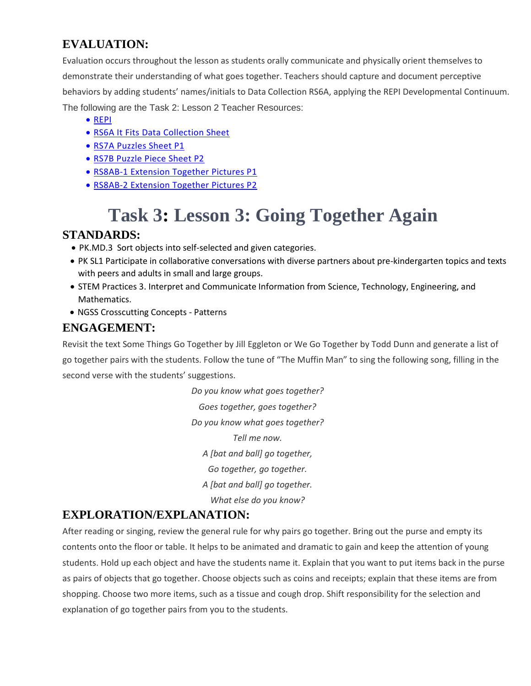## **EVALUATION:**

Evaluation occurs throughout the lesson as students orally communicate and physically orient themselves to demonstrate their understanding of what goes together. Teachers should capture and document perceptive behaviors by adding students' names/initials to Data Collection RS6A, applying the REPI Developmental Continuum. The following are the Task 2: Lesson 2 Teacher Resources:

- [REPI](https://www.oercommons.org/courseware/related-resource/13959/download)
- [RS6A It Fits Data Collection Sheet](https://www.oercommons.org/courseware/related-resource/13960/download)
- [RS7A Puzzles Sheet P1](https://www.oercommons.org/courseware/related-resource/13961/download)
- [RS7B Puzzle Piece Sheet P2](https://www.oercommons.org/courseware/related-resource/13967/download)
- **RS8AB-1 Extension Together Pictures P1**
- [RS8AB-2 Extension Together Pictures P2](https://www.oercommons.org/courseware/related-resource/13964/download)

## **Task 3: Lesson 3: Going Together Again**

#### **STANDARDS:**

- PK.MD.3 Sort objects into self-selected and given categories.
- PK SL1 Participate in collaborative conversations with diverse partners about pre-kindergarten topics and texts with peers and adults in small and large groups.
- [STEM Practices](http://mdk12.msde.maryland.gov/instruction/academies/marylandstatestemstandardsofpractice_.pdf) 3. Interpret and Communicate Information from Science, Technology, Engineering, and Mathematics.
- [NGSS Crosscutting Concepts Patterns](http://www.nextgenscience.org/sites/default/files/Appendix%20G%20-%20Crosscutting%20Concepts%20FINAL%20edited%204.10.13.pdf)

## **ENGAGEMENT:**

Revisit the text Some Things Go Together by Jill Eggleton or We Go Together by Todd Dunn and generate a list of go together pairs with the students. Follow the tune of "The Muffin Man" to sing the following song, filling in the second verse with the students' suggestions.

> *Do you know what goes together? Goes together, goes together? Do you know what goes together? Tell me now. A [bat and ball] go together, Go together, go together. A [bat and ball] go together. What else do you know?*

## **EXPLORATION/EXPLANATION:**

After reading or singing, review the general rule for why pairs go together. Bring out the purse and empty its contents onto the floor or table. It helps to be animated and dramatic to gain and keep the attention of young students. Hold up each object and have the students name it. Explain that you want to put items back in the purse as pairs of objects that go together. Choose objects such as coins and receipts; explain that these items are from shopping. Choose two more items, such as a tissue and cough drop. Shift responsibility for the selection and explanation of go together pairs from you to the students.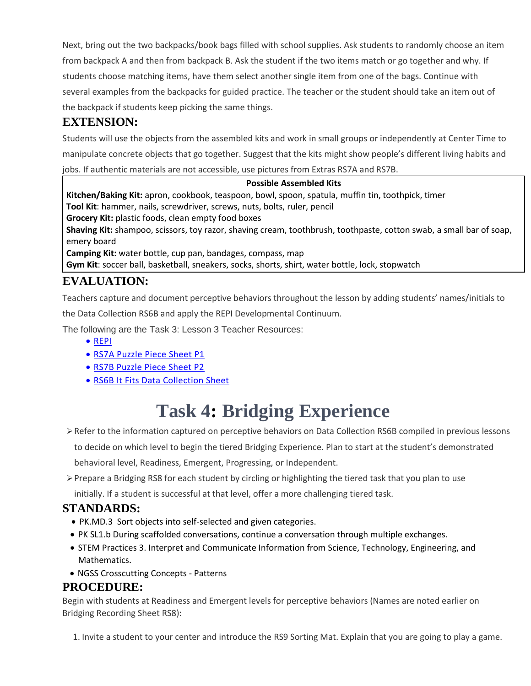Next, bring out the two backpacks/book bags filled with school supplies. Ask students to randomly choose an item from backpack A and then from backpack B. Ask the student if the two items match or go together and why. If students choose matching items, have them select another single item from one of the bags. Continue with several examples from the backpacks for guided practice. The teacher or the student should take an item out of the backpack if students keep picking the same things.

#### **EXTENSION:**

Students will use the objects from the assembled kits and work in small groups or independently at Center Time to manipulate concrete objects that go together. Suggest that the kits might show people's different living habits and jobs. If authentic materials are not accessible, use pictures from Extras RS7A and RS7B.

#### **Possible Assembled Kits**

**Kitchen/Baking Kit:** apron, cookbook, teaspoon, bowl, spoon, spatula, muffin tin, toothpick, timer **Tool Kit**: hammer, nails, screwdriver, screws, nuts, bolts, ruler, pencil **Grocery Kit:** plastic foods, clean empty food boxes **Shaving Kit:** shampoo, scissors, toy razor, shaving cream, toothbrush, toothpaste, cotton swab, a small bar of soap, emery board **Camping Kit:** water bottle, cup pan, bandages, compass, map **Gym Kit**: soccer ball, basketball, sneakers, socks, shorts, shirt, water bottle, lock, stopwatch

### **EVALUATION:**

Teachers capture and document perceptive behaviors throughout the lesson by adding students' names/initials to

the Data Collection RS6B and apply the REPI Developmental Continuum.

The following are the Task 3: Lesson 3 Teacher Resources:

- [REPI](https://www.oercommons.org/courseware/related-resource/13965/download)
- RS7A Puzzle Piece Sheet P1
- [RS7B Puzzle Piece Sheet P2](https://www.oercommons.org/courseware/related-resource/13967/download)
- [RS6B It Fits Data Collection Sheet](https://www.oercommons.org/courseware/related-resource/13968/download)

## **Task 4: Bridging Experience**

- Refer to the information captured on perceptive behaviors on Data Collection RS6B compiled in previous lessons to decide on which level to begin the tiered Bridging Experience. Plan to start at the student's demonstrated behavioral level, Readiness, Emergent, Progressing, or Independent.
- $\triangleright$  Prepare a Bridging RS8 for each student by circling or highlighting the tiered task that you plan to use initially. If a student is successful at that level, offer a more challenging tiered task.

### **STANDARDS:**

- PK.MD.3 Sort objects into self-selected and given categories.
- PK SL1.b During scaffolded conversations, continue a conversation through multiple exchanges.
- [STEM Practices](http://mdk12.msde.maryland.gov/instruction/academies/marylandstatestemstandardsofpractice_.pdf) 3. Interpret and Communicate Information from Science, Technology, Engineering, and Mathematics.
- [NGSS Crosscutting Concepts Patterns](http://www.nextgenscience.org/sites/default/files/Appendix%20G%20-%20Crosscutting%20Concepts%20FINAL%20edited%204.10.13.pdf)

#### **PROCEDURE:**

Begin with students at Readiness and Emergent levels for perceptive behaviors (Names are noted earlier on Bridging Recording Sheet RS8):

1. Invite a student to your center and introduce the RS9 Sorting Mat. Explain that you are going to play a game.